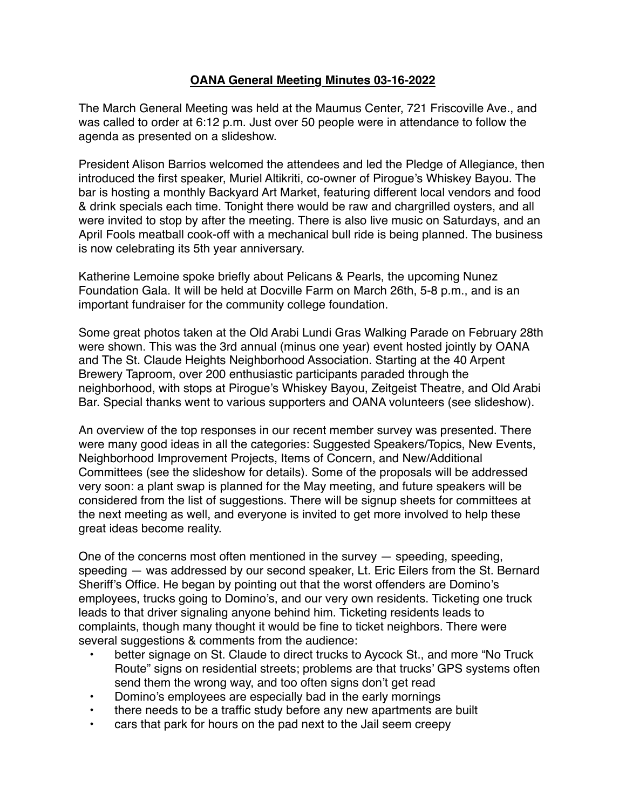## **OANA General Meeting Minutes 03-16-2022**

The March General Meeting was held at the Maumus Center, 721 Friscoville Ave., and was called to order at 6:12 p.m. Just over 50 people were in attendance to follow the agenda as presented on a slideshow.

President Alison Barrios welcomed the attendees and led the Pledge of Allegiance, then introduced the first speaker, Muriel Altikriti, co-owner of Pirogue's Whiskey Bayou. The bar is hosting a monthly Backyard Art Market, featuring different local vendors and food & drink specials each time. Tonight there would be raw and chargrilled oysters, and all were invited to stop by after the meeting. There is also live music on Saturdays, and an April Fools meatball cook-off with a mechanical bull ride is being planned. The business is now celebrating its 5th year anniversary.

Katherine Lemoine spoke briefly about Pelicans & Pearls, the upcoming Nunez Foundation Gala. It will be held at Docville Farm on March 26th, 5-8 p.m., and is an important fundraiser for the community college foundation.

Some great photos taken at the Old Arabi Lundi Gras Walking Parade on February 28th were shown. This was the 3rd annual (minus one year) event hosted jointly by OANA and The St. Claude Heights Neighborhood Association. Starting at the 40 Arpent Brewery Taproom, over 200 enthusiastic participants paraded through the neighborhood, with stops at Pirogue's Whiskey Bayou, Zeitgeist Theatre, and Old Arabi Bar. Special thanks went to various supporters and OANA volunteers (see slideshow).

An overview of the top responses in our recent member survey was presented. There were many good ideas in all the categories: Suggested Speakers/Topics, New Events, Neighborhood Improvement Projects, Items of Concern, and New/Additional Committees (see the slideshow for details). Some of the proposals will be addressed very soon: a plant swap is planned for the May meeting, and future speakers will be considered from the list of suggestions. There will be signup sheets for committees at the next meeting as well, and everyone is invited to get more involved to help these great ideas become reality.

One of the concerns most often mentioned in the survey — speeding, speeding, speeding — was addressed by our second speaker, Lt. Eric Eilers from the St. Bernard Sheriff's Office. He began by pointing out that the worst offenders are Domino's employees, trucks going to Domino's, and our very own residents. Ticketing one truck leads to that driver signaling anyone behind him. Ticketing residents leads to complaints, though many thought it would be fine to ticket neighbors. There were several suggestions & comments from the audience:

- better signage on St. Claude to direct trucks to Aycock St., and more "No Truck Route" signs on residential streets; problems are that trucks' GPS systems often send them the wrong way, and too often signs don't get read
- Domino's employees are especially bad in the early mornings
- there needs to be a traffic study before any new apartments are built
- cars that park for hours on the pad next to the Jail seem creepy